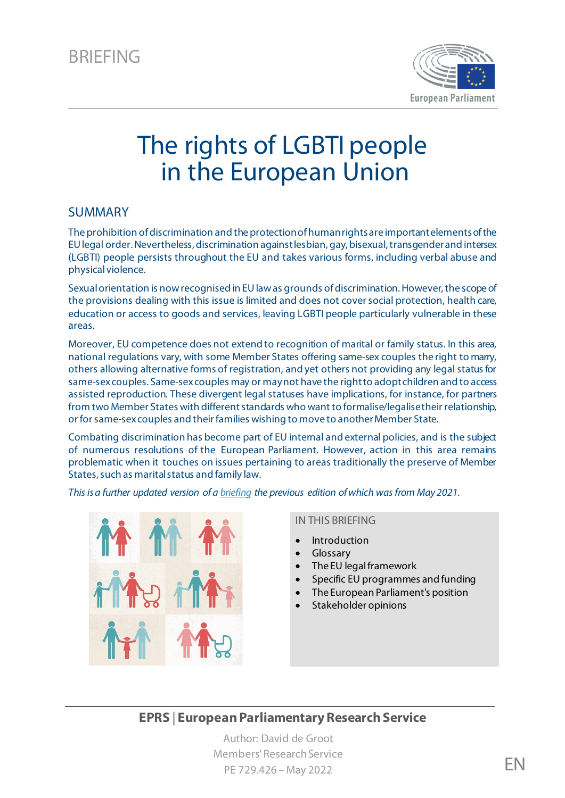

# The rights of LGBTI people in the European Union

### SUMMARY

The prohibition of discrimination and the protection of human rights are important elements of the EU legal order. Nevertheless, discrimination against lesbian, gay, bisexual, transgender and intersex (LGBTI) people persists throughout the EU and takes various forms, including verbal abuse and physical violence.

Sexual orientation is now recognised in EU law as grounds of discrimination. However, the scope of the provisions dealing with this issue is limited and does not cover social protection, health care, education or access to goods and services, leaving LGBTI people particularly vulnerable in these areas.

Moreover, EU competence does not extend to recognition of marital or family status. In this area, national regulations vary, with some Member States offering same-sex couples the right to marry, others allowing alternative forms of registration, and yet others not providing any legal status for same-sex couples. Same-sex couples may or may not have the right to adopt children and to access assisted reproduction. These divergent legal statuses have implications, for instance, for partners from two Member States with different standards who want to formalise/legalise their relationship, or for same-sex couples and their families wishing to move to another Member State.

Combating discrimination has become part of EU internal and external policies, and is the subject of numerous resolutions of the European Parliament. However, action in this area remains problematic when it touches on issues pertaining to areas traditionally the preserve of Member States, such as marital status and family law.

*This is a further updated version of a [briefing](https://www.europarl.europa.eu/thinktank/en/document/EPRS_BRI(2021)690601) the previous edition of which was from May 2021.*



#### IN THIS BRIEFING

- **[Introduction](#page-1-0)**
- [Glossary](http://www.eprs.sso.ep.parl.union.eu/webdav/PUMA_FILES/project_347505/part_1579/task_7871/EPRS-Briefing-651911-Rights-LGBTI-people-EU-Update-April2021_update_v2_peer_review_rshr_ddg_(1).docx#_Toc71570387)
- [The EU legal framework](#page-3-0)
- [Specific EU programmes and funding](#page-7-0)
- [The European Parliament's position](#page-7-1)
- [Stakeholder opinions](#page-9-0)

### **EPRS** | **European Parliamentary Research Service**

Author: David de Groot Members' Research Service PE 729.426 – May 2022 **EN**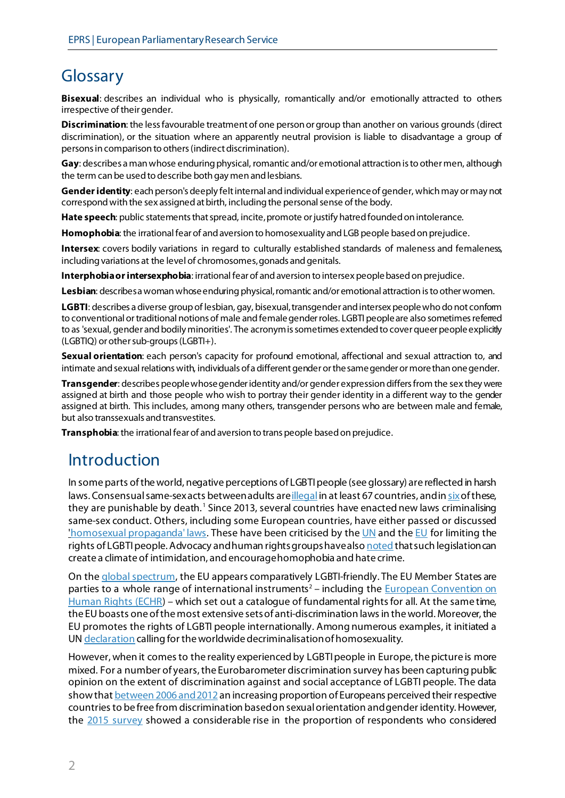## Glossary

**Bisexual**: describes an individual who is physically, romantically and/or emotionally attracted to others irrespective of their gender.

**Discrimination**: the less favourable treatment of one person or group than another on various grounds (direct discrimination), or the situation where an apparently neutral provision is liable to disadvantage a group of persons in comparison to others (indirect discrimination).

**Gay**: describes a man whose enduring physical, romantic and/or emotional attraction is to other men, although the term can be used to describe both gay men and lesbians.

**Gender identity**: each person's deeply felt internal and individual experience of gender, which may or may not correspond with the sex assigned at birth, including the personal sense of the body.

Hate speech: public statements that spread, incite, promote or justify hatred founded on intolerance.

**Homophobia**: the irrational fear of and aversion to homosexuality and LGB people based on prejudice.

**Intersex**: covers bodily variations in regard to culturally established standards of maleness and femaleness, including variations at the level of chromosomes, gonads and genitals.

**Interphobiaor intersexphobia**: irrational fear of and aversion to intersex people based on prejudice.

**Lesbian**: describes a woman whose enduring physical, romantic and/or emotional attraction is to other women.

**LGBTI**: describes a diverse group of lesbian, gay, bisexual, transgender and intersex people who do not conform to conventional or traditional notions of male and female gender roles. LGBTI peopleare also sometimes referred to as 'sexual, gender and bodily minorities'. The acronym is sometimes extended to cover queer people explicitly (LGBTIQ) or other sub-groups (LGBTI+).

**Sexual orientation**: each person's capacity for profound emotional, affectional and sexual attraction to, and intimate and sexual relations with, individuals of a different gender or the same gender or more than one gender.

**Transgender**: describes people whose gender identity and/or gender expression differs from the sex they were assigned at birth and those people who wish to portray their gender identity in a different way to the gender assigned at birth. This includes, among many others, transgender persons who are between male and female, but also transsexuals and transvestites.

**Transphobia**: the irrational fear of and aversion to trans people based on prejudice.

## <span id="page-1-0"></span>Introduction

In some parts of the world, negative perceptions of LGBTI people (see glossary) are reflected in harsh laws. Consensual same-sex acts between adults ar[e illegal](https://ilga.org/sites/default/files/downloads/ENG_ILGA_World_map_sexual_orientation_laws_dec2020.png) in at least 67 countries, and i[n six](https://ilga.org/downloads/ILGA_World_State_Sponsored_Homophobia_report_global_legislation_overview_update_December_2020.pdf#page=31) of these, they are punishable by death. [1](#page-10-0) Since 2013, several countries have enacted new laws criminalising same-sex conduct. Others, including some European countries, have either passed or discussed ['homosexual propaganda' laws.](https://www.ilga-europe.org/tags/anti-propaganda-laws) These have been criticised by th[e UN](http://www.ohchr.org/EN/NewsEvents/Pages/DisplayNews.aspx?NewsID=15349&LangID=E) and th[e EU](https://lgbti-ep.eu/2015/04/01/eu-leaders-demand-answers-from-kyrgyz-president-over-anti-lgbti-anti-ngo-bills/) for limiting the rights of LGBTI people. Advocacy and human rights groups have als[o noted](https://www.iglyo.com/wp-content/uploads/2018/04/IGLYO-Report_A4_digital.pdf) that such legislation can create a climate of intimidation, and encourage homophobia and hate crime.

On the [global spectrum,](https://ilga.org/state-sponsored-homophobia-report) the EU appears comparatively LGBTI-friendly. The EU Member States are parties to a whole range of international instruments<sup>[2](#page-10-1)</sup> – including the **European Convention on** [Human Rights \(ECHR](http://www.echr.coe.int/Pages/home.aspx?p=basictexts&c=#n1359128122487_pointer)) – which set out a catalogue of fundamental rights for all. At the same time, the EU boasts one of the most extensive sets of anti-discrimination lawsin the world. Moreover, the EU promotes the rights of LGBTI people internationally. Among numerous examples, it initiated a U[N declaration](http://www.refworld.org/cgi-bin/texis/vtx/rwmain?docid=49997ae312) calling for the worldwide decriminalisation of homosexuality.

However, when it comes to the reality experienced by LGBTI people in Europe, the picture is more mixed. For a number of years, the Eurobarometer discrimination survey has been capturing public opinion on the extent of discrimination against and social acceptance of LGBTI people. The data show that **between 2006 and 2012** an increasing proportion of Europeans perceived their respective countries to be free from discrimination based on sexual orientation and gender identity.However, the [2015 survey](https://data.europa.eu/data/datasets/s2077_83_4_437_eng?locale=en) showed a considerable rise in the proportion of respondents who considered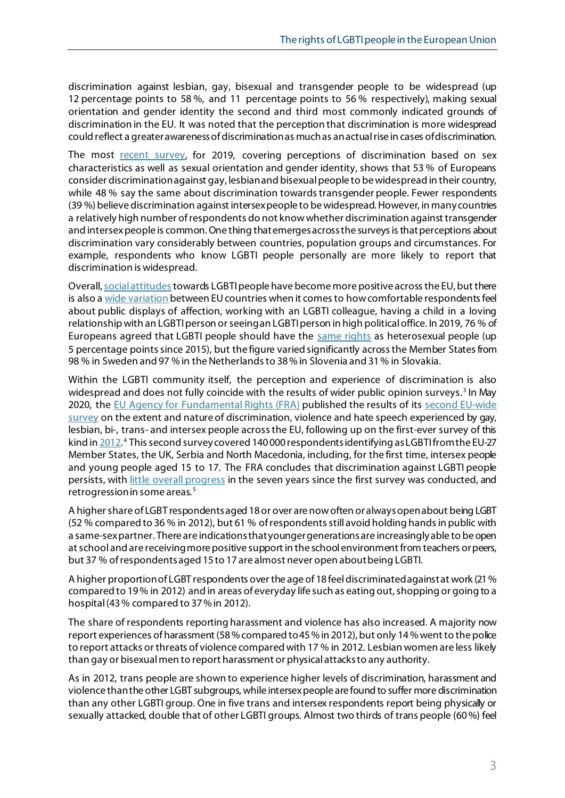discrimination against lesbian, gay, bisexual and transgender people to be widespread (up 12 percentage points to 58 %, and 11 percentage points to 56 % respectively), making sexual orientation and gender identity the second and third most commonly indicated grounds of discrimination in the EU. It was noted that the perception that discrimination is more widespread could reflect a greater awareness ofdiscrimination as much as an actual rise in cases of discrimination.

The most [recent survey,](https://ec.europa.eu/info/policies/justice-and-fundamental-rights/combatting-discrimination/lesbian-gay-bi-trans-and-intersex-equality/eurobarometer-social-acceptance-lgbti-people-eu-2019_en) for 2019, covering perceptions of discrimination based on sex characteristics as well as sexual orientation and gender identity, shows that 53 % of Europeans consider discrimination against gay, lesbian and bisexual people to be widespread in their country, while 48 % say the same about discrimination towards transgender people. Fewer respondents (39 %) believe discrimination against intersex people to be widespread.However, in many countries a relatively high number of respondents do not know whether discrimination against transgender and intersex people is common. One thing that emerges across the surveys is that perceptions about discrimination vary considerably between countries, population groups and circumstances. For example, respondents who know LGBTI people personally are more likely to report that discrimination is widespread.

Overall[, social attitudes](https://ec.europa.eu/info/sites/info/files/infographics_2019_lgbti_final.pdf) towards LGBTI people have become more positive across the EU, but there is also a [wide variation](https://ec.europa.eu/info/sites/info/files/ebs_493_data_fact_lgbti_eu_en-1.pdf) between EU countries when it comes to how comfortable respondents feel about public displays of affection, working with an LGBTI colleague, having a child in a loving relationship with an LGBTI person or seeing an LGBTI person in high political office. In 2019, 76 % of Europeans agreed that LGBTI people should have the [same rights](https://ec.europa.eu/info/sites/info/files/infographics_2019_lgbti_final.pdf) as heterosexual people (up 5 percentage points since 2015), but the figure varied significantly across the Member States from 98 % in Sweden and 97 % in the Netherlands to 38% in Slovenia and 31% in Slovakia.

Within the LGBTI community itself, the perception and experience of discrimination is also widespread and does not fully coincide with the results of wider public opinion surveys. [3](#page-10-2) In May 2020, the [EU Agency for Fundamental Rights \(FRA\)](http://fra.europa.eu/) published the results of its second EU-wide [survey](https://fra.europa.eu/en/news/2020/does-hope-or-fear-prevail-among-europes-lgbti-people) on the extent and nature of discrimination, violence and hate speech experienced by gay, lesbian, bi-, trans- and intersex people across the EU, following up on the first-ever survey of this kind in [2012.](https://fra.europa.eu/sites/default/files/fra-eu-lgbt-survey-main-results_tk3113640enc_1.pdf)<sup>[4](#page-10-3)</sup> This second survey covered 140 000 respondents identifying as LGBTI from the EU-27 Member States, the UK, Serbia and North Macedonia, including, for the first time, intersex people and young people aged 15 to 17. The FRA concludes that discrimination against LGBTI people persists, wit[h little overall progress](https://fra.europa.eu/sites/default/files/fra_uploads/fra-2020-lgbti-equality_en.pdf#page=12) in the seven years since the first survey was conducted, and retrogression in some areas. [5](#page-10-4)

A higher share of LGBT respondents aged 18 or over are now often or always open about being LGBT (52 % compared to 36 % in 2012), but 61 % of respondentsstill avoid holding hands in public with a same-sex partner. There are indications that younger generations are increasingly able to be open at school and are receiving more positive support in the school environment from teachers or peers, but 37 % of respondents aged 15 to 17 are almost never open about being LGBTI.

A higher proportion of LGBT respondents over the age of 18 feel discriminated against at work (21% compared to 19% in 2012) and in areas of everyday life such as eating out, shopping or going to a hospital (43% compared to 37% in 2012).

The share of respondents reporting harassment and violence has also increased. A majority now report experiences of harassment (58% compared to 45% in 2012), but only 14% went to the police to report attacks or threats of violence compared with 17 % in 2012. Lesbian women are less likely than gay or bisexual men to report harassment or physical attacksto any authority.

As in 2012, trans people are shown to experience higher levels of discrimination, harassment and violence than the other LGBT subgroups, while intersex people are found to suffer more discrimination than any other LGBTI group. One in five trans and intersex respondents report being physically or sexually attacked, double that of other LGBTI groups. Almost two thirds of trans people (60%) feel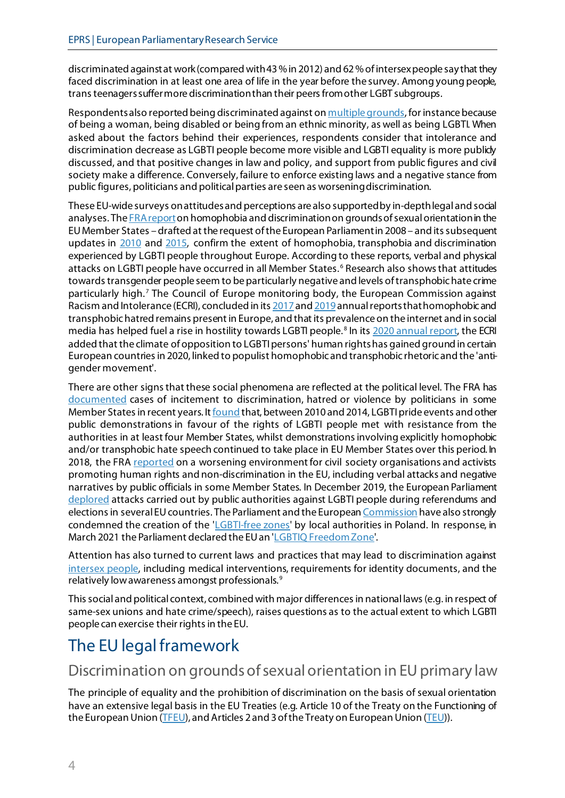discriminated against at work (compared with43% in 2012) and 62% of intersex people say that they faced discrimination in at least one area of life in the year before the survey. Among young people, trans teenagers suffer more discrimination than their peersfrom other LGBT subgroups.

Respondents also reported being discriminated against o[n multiple grounds](https://fra.europa.eu/sites/default/files/fra_uploads/fra-2020-lgbti-equality_en.pdf#page=23), for instance because of being a woman, being disabled or being from an ethnic minority, as well as being LGBTI. When asked about the factors behind their experiences, respondents consider that intolerance and discrimination decrease as LGBTI people become more visible and LGBTI equality is more publicly discussed, and that positive changes in law and policy, and support from public figures and civil society make a difference. Conversely, failure to enforce existing laws and a negative stance from public figures, politicians and political parties are seen as worseningdiscrimination.

These EU-wide surveys on attitudes and perceptions are also supported by in-depth legal and social analyses. The **FRA report** on homophobia and discrimination on grounds of sexual orientation in the EU Member States – drafted at the request of the European Parliament in 2008 – and itssubsequent updates in [2010](http://fra.europa.eu/en/publication/2012/homophobia-transphobia-and-discrimination-grounds-sexual-orientation-and-gender) and [2015,](http://fra.europa.eu/en/publication/2015/lgbti-comparative-legal-update-2015) confirm the extent of homophobia, transphobia and discrimination experienced by LGBTI people throughout Europe. According to these reports, verbal and physical attacks on LGBTI people have occurred in all Member States. [6](#page-10-5) Research also shows that attitudes towards transgender people seem to be particularly negative and levels of transphobic hate crime particularly high. [7](#page-10-6) The Council of Europe monitoring body, the European Commission against Racism and Intolerance (ECRI), concluded in it[s 2017](https://rm.coe.int/annual-report-on-ecri-s-activities-covering-the-period-from-1-january-/16808c168b) an[d 2019](https://rm.coe.int/ecri-annual-report-2019/16809ca3e1) annual reportsthat homophobic and transphobichatred remains present in Europe, and that its prevalence on the internet and in social media has helped fuel a rise in hostility towards LGBTI people.<sup>[8](#page-10-7)</sup> In it[s 2020 annual report,](https://rm.coe.int/annual-report-on-ecri-s-activities-for-2020/1680a1cd59) the ECRI added that the climate of opposition to LGBTI persons' human rights has gained ground in certain European countries in 2020, linked to populist homophobic and transphobic rhetoric and the 'antigender movement'.

There are other signs that these social phenomena are reflected at the political level. The FRA has [documented](http://fra.europa.eu/en/publication/2016/incitement-media-content-and-political-discourse-member-states-european-union) cases of incitement to discrimination, hatred or violence by politicians in some Member States in recent years. I[t found](http://fra.europa.eu/en/publication/2015/lgbti-comparative-legal-update-2015) that, between 2010 and 2014, LGBTI pride events and other public demonstrations in favour of the rights of LGBTI people met with resistance from the authorities in at least four Member States, whilst demonstrations involving explicitly homophobic and/or transphobic hate speech continued to take place in EU Member States over this period. In 2018, the FRA [reported](https://fra.europa.eu/sites/default/files/fra_uploads/fra-2018-challenges-facing-civil-society_en.pdf) on a worsening environment for civil society organisations and activists promoting human rights and non-discrimination in the EU, including verbal attacks and negative narratives by public officials in some Member States. In December 2019, the European Parliament [deplored](https://www.europarl.europa.eu/doceo/document/TA-9-2019-0101_EN.html) attacks carried out by public authorities against LGBTI people during referendums and elections in several EU countries. The Parliament and the Europea[n Commission](https://ec.europa.eu/commission/commissioners/2019-2024/dalli/announcements/commissioner-dallis-speech-lgbti-intergroup-european-parliament-eu-and-lgbti-rights-2020-2024_en) have also strongly condemned the creation of the ['LGBTI-free zones](https://balkaninsight.com/2020/02/25/a-third-of-poland-declared-lgbt-free-zone/)' by local authorities in Poland. In response, in March 2021 the Parliament declared the EU an ['LGBTIQ Freedom Zone](https://www.europarl.europa.eu/doceo/document/TA-9-2021-0089_EN.html)'.

Attention has also turned to current laws and practices that may lead to discrimination against [intersex people,](https://ec.europa.eu/info/sites/info/files/trans_and_intersex_equality_rights.pdf) including medical interventions, requirements for identity documents, and the relatively low awareness amongst professionals. [9](#page-10-8)

This social and political context, combined with major differences in national laws (e.g. in respect of same-sex unions and hate crime/speech), raises questions as to the actual extent to which LGBTI people can exercise their rights in the EU.

## <span id="page-3-0"></span>The EU legal framework

### Discrimination on grounds of sexual orientation in EU primary law

The principle of equality and the prohibition of discrimination on the basis of sexual orientation have an extensive legal basis in the EU Treaties (e.g. Article 10 of the Treaty on the Functioning of the European Union [\(TFEU](https://eur-lex.europa.eu/legal-content/EN/TXT/?uri=CELEX:12016E/TXT)), and Articles 2 and 3 of the Treaty on European Union [\(TEU](http://eur-lex.europa.eu/legal-content/EN/TXT/?uri=CELEX:12012M/TXT))).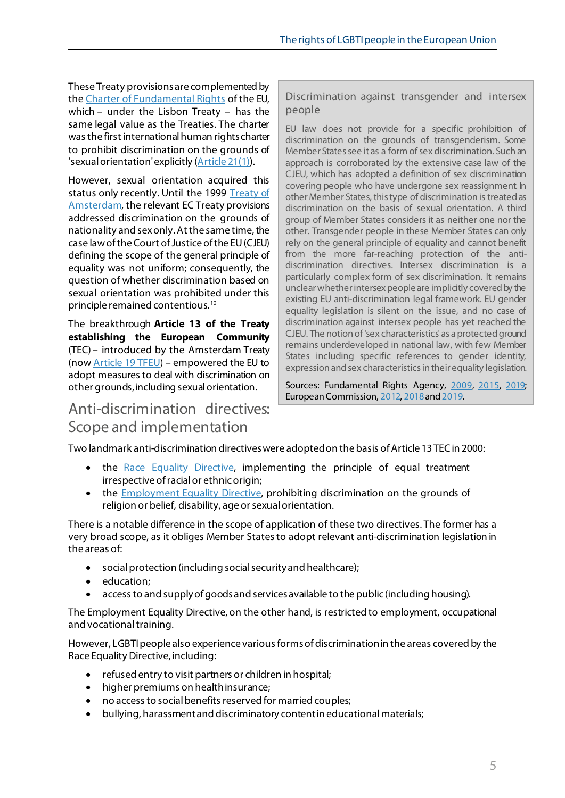These Treaty provisions are complemented by th[e Charter of Fundamental Rights](http://www.europarl.europa.eu/charter/default_en.htm) of the EU, which – under the Lisbon Treaty – has the same legal value as the Treaties. The charter was the first international human rights charter to prohibit discrimination on the grounds of 'sexual orientation' explicitly [\(Article 21\(1\)\)](https://fra.europa.eu/en/charterpedia/article/21-non-discrimination).

However, sexual orientation acquired this status only recently. Until the 1999 [Treaty of](http://eur-lex.europa.eu/legal-content/EN/TXT/?uri=OJ:C:1997:340:TOC)  [Amsterdam](http://eur-lex.europa.eu/legal-content/EN/TXT/?uri=OJ:C:1997:340:TOC), the relevant EC Treaty provisions addressed discrimination on the grounds of nationality and sexonly. At the same time, the case law of the Court of Justice of the EU (CJEU) defining the scope of the general principle of equality was not uniform; consequently, the question of whether discrimination based on sexual orientation was prohibited under this principle remained contentious. [10](#page-10-9)

The breakthrough **Article 13 of the Treaty establishing the European Community**  (TEC) – introduced by the Amsterdam Treaty (no[w Article 19 TFEU\)](https://eur-lex.europa.eu/legal-content/EN/TXT/?uri=CELEX%3A12008E019) – empowered the EU to adopt measures to deal with discrimination on other grounds, including sexual orientation.

### Anti-discrimination directives: Scope and implementation

Discrimination against transgender and intersex people

EU law does not provide for a specific prohibition of discrimination on the grounds of transgenderism. Some Member States see it as a form of sex discrimination. Such an approach is corroborated by the extensive case law of the CJEU, which has adopted a definition of sex discrimination covering people who have undergone sex reassignment. In other Member States, this type of discrimination is treated as discrimination on the basis of sexual orientation. A third group of Member States considers it as neither one nor the other. Transgender people in these Member States can only rely on the general principle of equality and cannot benefit from the more far-reaching protection of the antidiscrimination directives. Intersex discrimination is a particularly complex form of sex discrimination. It remains unclear whether intersex people are implicitly covered by the existing EU anti-discrimination legal framework. EU gender equality legislation is silent on the issue, and no case of discrimination against intersex people has yet reached the CJEU. The notion of 'sex characteristics'as a protected ground remains underdeveloped in national law, with few Member States including specific references to gender identity, expression and sex characteristics in their equality legislation.

Sources: Fundamental Rights Agency, [2009,](http://bit.ly/1OADCJV) [2015](http://bit.ly/1TdNRGb), [2019;](https://fra.europa.eu/sites/default/files/fra_uploads/fra-2019-fundamental-rights-report-2019_en.pdf)  European Commission[, 2012,](https://publications.europa.eu/en/publication-detail/-/publication/9b338479-c1b5-4d88-a1f8-a248a19466f1) [2018](https://ec.europa.eu/info/sites/info/files/trans_and_intersex_equality_rights.pdf) and 2019.

Two landmark anti-discrimination directives were adopted on the basis of Article 13 TEC in 2000:

- the [Race Equality Directive,](http://eur-lex.europa.eu/LexUriServ/LexUriServ.do?uri=CELEX:32000L0043:EN:NOT) implementing the principle of equal treatment irrespective of racial or ethnic origin;
- the [Employment Equality Directive,](http://eur-lex.europa.eu/LexUriServ/LexUriServ.do?uri=CELEX:32000L0078:EN:NOT) prohibiting discrimination on the grounds of religion or belief, disability, age or sexual orientation.

There is a notable difference in the scope of application of these two directives. The former has a very broad scope, as it obliges Member States to adopt relevant anti-discrimination legislation in the areas of:

- social protection (including social security and healthcare);
- education;
- access to and supply of goods and services available to the public (including housing).

The Employment Equality Directive, on the other hand, is restricted to employment, occupational and vocational training.

However, LGBTI people also experience various forms of discrimination in the areas covered by the Race Equality Directive, including:

- refused entry to visit partners or children in hospital;
- higher premiums on health insurance;
- no access to social benefits reserved for married couples;
- bullying, harassment and discriminatory content in educational materials;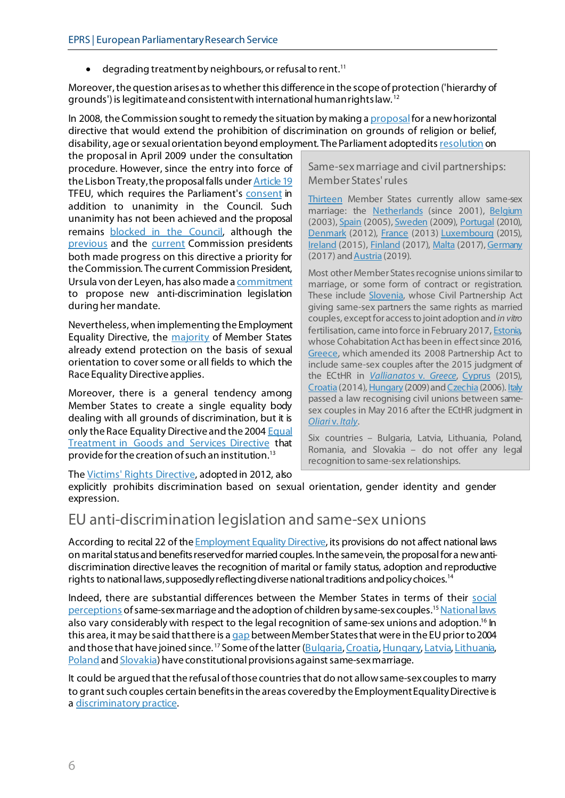• degrading treatment by neighbours, or refusal to rent.<sup>11</sup>

Moreover, the question arises as to whether this difference in the scope of protection ('hierarchy of grounds') is legitimate and consistent with international human rights law. [12](#page-10-11)

In 2008, the Commission sought to remedy the situation by making [a proposal](http://eur-lex.europa.eu/LexUriServ/LexUriServ.do?uri=CELEX:52008PC0426:EN:NOT) for a new horizontal directive that would extend the prohibition of discrimination on grounds of religion or belief, disability, age or sexual orientation beyond employment. The Parliament adopted it[s resolution](http://www.europarl.europa.eu/sides/getDoc.do?type=TA&language=EN&reference=P6-TA-2009-211) on

the proposal in April 2009 under the consultation procedure. However, since the entry into force of the Lisbon Treaty, the proposal falls unde[r Article 19](https://eur-lex.europa.eu/legal-content/EN/TXT/?uri=CELEX%3A12008E019) TFEU, which requires the Parliament's [consent](http://www.europarl.europa.eu/oeil/popups/ficheprocedure.do?id=566164) in addition to unanimity in the Council. Such unanimity has not been achieved and the proposal remains [blocked in the Council,](http://www.europarl.europa.eu/legislative-train/theme-area-of-justice-and-fundamental-rights/file-anti-discrimination-directive) although the [previous](https://www.europarl.europa.eu/legislative-train/) and the [current](https://www.europarl.europa.eu/legislative-train/) Commission presidents both made progress on this directive a priority for the Commission. The current Commission President, Ursula von der Leyen, has also made a [commitment](https://op.europa.eu/en/publication-detail/-/publication/43a17056-ebf1-11e9-9c4e-01aa75ed71a1) to propose new anti-discrimination legislation during her mandate.

Nevertheless, when implementing the Employment Equality Directive, the [majority](https://rainbow-europe.org/#1/8667/0) of Member States already extend protection on the basis of sexual orientation to cover some or all fields to which the Race Equality Directive applies.

Moreover, there is a general tendency among Member States to create a single equality body dealing with all grounds of discrimination, but it is only the Race Equality Directive and the 200[4 Equal](http://eur-lex.europa.eu/LexUriServ/LexUriServ.do?uri=CELEX:32004L0113:EN:NOT)  [Treatment in Goods and Services Directive](http://eur-lex.europa.eu/LexUriServ/LexUriServ.do?uri=CELEX:32004L0113:EN:NOT) that provide for the creation of such an institution.<sup>[13](#page-10-12)</sup>

Same-sex marriage and civil partnerships: Member States' rules

[Thirteen](https://www.rainbow-europe.org/#0/8682/0) Member States currently allow same-sex marriage: the [Netherlands](https://wetten.overheid.nl/BWBR0012099/2001-04-01) (since 2001), [Belgium](http://www.ejustice.just.fgov.be/cgi_loi/change_lg.pl?language=nl&la=N&cn=2003021336&table_name=wet) (2003)[, Spain](https://www.boe.es/eli/es/l/2005/07/01/13) (2005)[, Sweden](https://www.riksdagen.se/sv/dokument-lagar/dokument/statens-offentliga-utredningar/aktenskap-for-par-med-samma-kon-vigselfragor_GVB317) (2009)[, Portugal](https://dre.pt/pesquisa/-/search/332460/details/maximized) (2010), [Denmark](https://www.retsinformation.dk/eli/lta/2012/1052) (2012)[, France](https://www.legifrance.gouv.fr/affichTexte.do?cidTexte=JORFTEXT000027414540&categorieLien=id) (2013[\) Luxembourg](http://legilux.public.lu/eli/etat/leg/loi/2014/07/04/n1/jo#:%7E:text=m%C3%AAme%20au%20mariage.-,Art.,soit%20par%20le%20minist%C3%A8re%20public.) (2015), [Ireland](https://data.oireachtas.ie/ie/oireachtas/act/2015/35/eng/enacted/a3515.pdf) (2015)[, Finland](https://finlex.fi/fi/laki/alkup/2015/20150156) (2017), [Malta](https://parlament.mt/mt/13th-leg/bills/bill-no-001-marriage-bill-and-other-laws-amendment/) (2017)[, Germany](https://www.bgbl.de/xaver/bgbl/start.xav?startbk=Bundesanzeiger_BGBl&jumpTo=bgbl117s2787.pdf#__bgbl__%2F%2F*%5B%40attr_id%3D%27bgbl117s2787.pdf%27%5D__1526387794662) (2017) an[d Austria](https://www.vfgh.gv.at/downloads/VfGH_Entscheidung_G_258-2017_ua_Ehe_gleichgeschlechtl_Paare.pdf) (2019).

Most other Member States recognise unions similar to marriage, or some form of contract or registration. These include [Slovenia,](https://www.uradni-list.si/glasilo-uradni-list-rs/vsebina/2016-01-1426?sop=2016-01-1426) whose Civil Partnership Act giving same-sex partners the same rights as married couples, except for access to joint adoption and *in vitro* fertilisation, came into force in February 2017, [Estonia,](https://www.riigiteataja.ee/akt/116102014001) whose Cohabitation Act has been in effect since 2016, [Greece](https://www.e-nomothesia.gr/oikogeneia/nomos-4356-2015.html), which amended its 2008 Partnership Act to include same-sex couples after the 2015 judgment of the ECtHR in *[Vallianatos](http://hudoc.echr.coe.int/eng?i=001-128294)* v. *Greece*, [Cyprus](http://www.cylaw.org/nomoi/arith/2015_1_184.pdf) (2015), [Croatia](https://www.zakon.hr/z/732/Zakon-o-%C5%BEivotnom-partnerstvu-osoba-istog-spola) (2014[\), Hungary](https://net.jogtar.hu/jogszabaly?docid=a0900029.tv) (2009) an[d Czechia](https://www.zakonyprolidi.cz/cs/2006-115) (2006[\). Italy](https://www.gazzettaufficiale.it/atto/vediMenuHTML?atto.dataPubblicazioneGazzetta=2016-05-21&atto.codiceRedazionale=16G00082&tipoSerie=serie_generale&tipoVigenza=originario) passed a law recognising civil unions between samesex couples in May 2016 after the ECtHR judgment in *[Oliari](http://hudoc.echr.coe.int/eng?i=001-156265)* v. *Italy*.

Six countries – Bulgaria, Latvia, Lithuania, Poland, Romania, and Slovakia – do not offer any legal recognition to same-sex relationships.

The [Victims' Rights Directive](http://eur-lex.europa.eu/legal-content/en/TXT/?uri=CELEX%3A32012L0029), adopted in 2012, also

explicitly prohibits discrimination based on sexual orientation, gender identity and gender expression.

### EU anti-discrimination legislation and same-sex unions

According to recital 22 of the **Employment Equality Directive**, its provisions do not affect national laws on marital status and benefits reserved for married couples. In the same vein, the proposal for a new antidiscrimination directive leaves the recognition of marital or family status, adoption and reproductive rights to national laws, supposedly reflecting diverse national traditions and policy choices.<sup>14</sup>

Indeed, there are substantial differences between the Member States in terms of their [social](https://ec.europa.eu/info/sites/info/files/ebs_493_data_fact_lgbti_eu_en-1.pdf)  [perceptions](https://ec.europa.eu/info/sites/info/files/ebs_493_data_fact_lgbti_eu_en-1.pdf) of same-sex marriage and the adoption of children by same-sex couples.<sup>[15](#page-10-14)</sup> [National laws](https://rainbow-europe.org/#1/8682/0) also vary considerably with respect to the legal recognition of same-sex unions and adoption.<sup>[16](#page-10-15)</sup> In this area, it may be said that there is a [gap](https://www.pewresearch.org/fact-tank/2019/10/28/where-europe-stands-on-gay-marriage-and-civil-unions/) between Member States that were in the EU prior to 2004 and those that have joined since. [17](#page-10-16) Some of the latter [\(Bulgaria](https://www.parliament.bg/bg/const#:%7E:text=%D0%91%D1%80%D0%B0%D0%BA%D1%8A%D1%82%20%D0%B5%20%D0%B4%D0%BE%D0%B1%D1%80%D0%BE%D0%B2%D0%BE%D0%BB%D0%B5%D0%BD%20%D1%81%D1%8A%D1%8E%D0%B7%20%D0%BC%D0%B5%D0%B6%D0%B4%D1%83%20%D0%BC%D1%8A%D0%B6%20%D0%B8%20%D0%B6%D0%B5%D0%BD%D0%B0.%20%D0%97%D0%B0%D0%BA%D0%BE%D0%BD%D0%B5%D0%BD%20%D0%B5%20%D1%81%D0%B0%D0%BC%D0%BE%20%D0%B3%D1%80%D0%B0%D0%B6%D0%B4%D0%B0%D0%BD%D1%81%D0%BA%D0%B8%D1%8F%D1%82%20%D0%B1%D1%80%D0%B0%D0%BA)[, Croatia](https://www.zakon.hr/z/94/Ustav-Republike-Hrvatske#:%7E:text=Brak%20je%20%C5%BEivotna%20zajednica%20%C5%BEene%20i%20mu%C5%A1karca)[, Hungary](https://net.jogtar.hu/jogszabaly?docid=a1100425.atv#:%7E:text=Magyarorsz%C3%A1g%20v%C3%A9di%20a%20h%C3%A1zass%C3%A1g%20int%C3%A9zm%C3%A9ny%C3%A9t%20mint%20egy%20f%C3%A9rfi%20%C3%A9s%20egy%20n%C5%91%20k%C3%B6z%C3%B6tt)[, Latvia](https://likumi.lv/ta/id/57980-latvijas-republikas-satversme#:%7E:text=savien%C4%ABbu%20starp%20v%C4%ABrieti%20un%20sievieti)[, Lithuania,](https://www.lrs.lt/home/Konstitucija/Konstitucija.htm#:%7E:text=Santuoka%20sudaroma%20laisvu%20vyro%20ir%20moters%20sutarimu) [Poland](https://www.prezydent.pl/prawo/konstytucja-rp/i-rzeczpospolita/#:%7E:text=Ma%C5%82%C5%BCe%C5%84stwo%20jako%20zwi%C4%85zek%20kobiety%20i%20m%C4%99%C5%BCczyzny) an[d Slovakia\)](https://www.zakonypreludi.sk/zz/1992-460#:%7E:text=Man%C5%BEelstvo%20je%20jedine%C4%8Dn%C3%BD%20zv%C3%A4zok%20medzi%20mu%C5%BEom%20a%20%C5%BEenou) have constitutional provisions against same-sex marriage.

It could be argued that the refusal of those countries that do not allow same-sex couples to marry to grant such couples certain benefits in the areas covered by the Employment Equality Directive is [a discriminatory practice.](https://eur-lex.europa.eu/legal-content/EN/TXT/?uri=CELEX%3A62012CJ0267&qid=1617873998180#:%7E:text=The%20difference%20in%20treatment%20based%20on%20the%20employees%E2%80%99%20marital%20status%20and%20not%20expressly%20on%20their%20sexual%20orientation%20is%20still%20direct%20discrimination%20because%20only%20persons%20of%20different%20sexes%20may%20marry%20and%20homosexual%20employees%20are%20therefore%20unable%20to%20meet%20the%20condition%20required%20for%20obtaining%20the%20benefit%20claimed)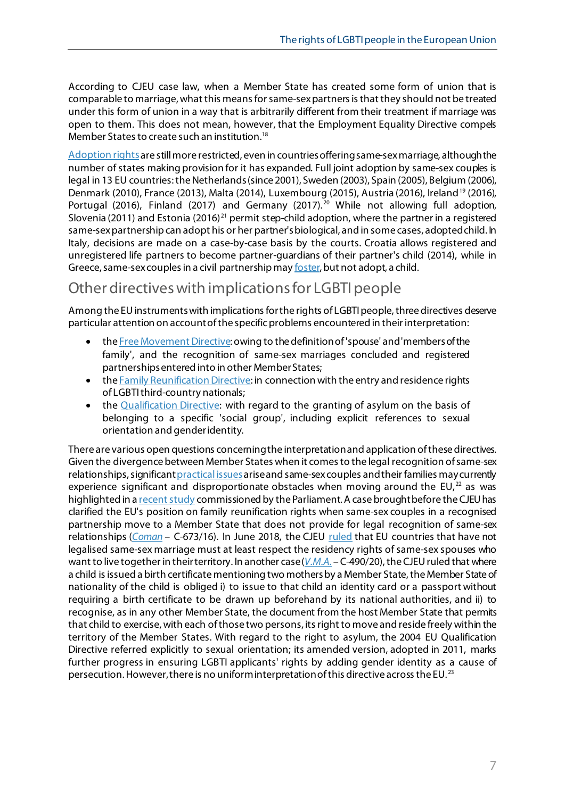According to CJEU case law, when a Member State has created some form of union that is comparable to marriage, what this means for same-sex partnersis that they should not be treated under this form of union in a way that is arbitrarily different from their treatment if marriage was open to them. This does not mean, however, that the Employment Equality Directive compels Member States to create such an institution.<sup>[18](#page-10-17)</sup>

[Adoption rights](https://rainbow-europe.org/#1/8682/0) are still more restricted, even in countries offering same-sex marriage, although the number of states making provision for it has expanded. Full joint adoption by same-sex couples is legal in 13 EU countries: the Netherlands (since 2001), Sweden (2003), Spain (2005), Belgium (2006), Denmark (2010), France (2013), Malta (2014), Luxembourg (2015), Austria (2016), Ireland<sup>[19](#page-10-18)</sup> (2016), Portugal ([20](#page-10-19)16), Finland (2017) and Germany (2017).<sup>20</sup> While not allowing full adoption, Slovenia (2011) and Estonia (2016)<sup>[21](#page-10-20)</sup> permit step-child adoption, where the partner in a registered same-sex partnership can adopt his or her partner'sbiological, and in some cases, adopted child. In Italy, decisions are made on a case-by-case basis by the courts. Croatia allows registered and unregistered life partners to become partner-guardians of their partner's child (2014), while in Greece, same-sex couples in a civil partnership ma[y foster,](https://www.e-nomothesia.gr/oikogeneia/nomos-4538-2018-phek-85a-16-5-2018.html#:%7E:text=%CE%AD%CF%87%CE%BF%CE%BD%CF%84%CE%B5%CF%82%20%CF%83%CF%85%CE%BD%CE%AC%CF%88%CE%B5%CE%B9%20%CF%83%CF%8D%CE%BC%CF%86%CF%89%CE%BD%CE%BF%20%CF%83%CF%85%CE%BC%CE%B2%CE%AF%CF%89%CF%83%CE%B7%CF%82) but not adopt, a child.

### Other directives with implications for LGBTI people

Among the EU instruments with implications for the rights of LGBTI people, three directives deserve particular attention on account ofthe specific problems encountered in their interpretation:

- th[e Free Movement Directive:](https://eur-lex.europa.eu/legal-content/EN/TXT/?uri=CELEX%3A32004L0038&qid=1617897041734) owing to the definition of 'spouse' and 'members of the family', and the recognition of same-sex marriages concluded and registered partnerships entered into in other Member States;
- th[e Family Reunification Directive:](http://eur-lex.europa.eu/LexUriServ/LexUriServ.do?uri=CELEX:32003L0086:EN:NOT) in connection with the entry and residence rights of LGBTIthird-country nationals;
- the [Qualification Directive:](http://eur-lex.europa.eu/legal-content/en/TXT/?uri=celex:32011L0095) with regard to the granting of asylum on the basis of belonging to a specific 'social group', including explicit references to sexual orientation and gender identity.

There are various open questions concerningthe interpretation and application of these directives. Given the divergence between Member States when it comes to the legal recognition of same-sex relationships, significan[t practical issues](http://europa.eu/youreurope/citizens/family/couple/registered-partners/index_en.htm) arise and same-sex couples and their families may currently experience significant and disproportionate obstacles when moving around the  $EU$ , as was highlighted in [a recent study](https://www.europarl.europa.eu/thinktank/en/document.html?reference=IPOL_STU(2021)671505) commissioned by the Parliament. A case brought before the CJEU has clarified the EU's position on family reunification rights when same-sex couples in a recognised partnership move to a Member State that does not provide for legal recognition of same-sex relationships (*[Coman](http://curia.europa.eu/juris/liste.jsf?language=en&num=C-673/16)* - C-673/16). In June 2018, the CJEU [ruled](http://curia.europa.eu/juris/document/document.jsf?text=&docid=202542&pageIndex=0&doclang=EN&mode=req&dir=&occ=first&part=1&cid=340528) that EU countries that have not legalised same-sex marriage must at least respect the residency rights of same-sex spouses who want to live together in their territory. In another case (*[V.M.A.](https://curia.europa.eu/juris/liste.jsf?lgrec=fr&td=%3BALL&language=en&num=C-490/20&jur=C)* – C-490/20), the CJEU ruled that where a child is issued a birth certificate mentioning two mothers by a Member State, the Member State of nationality of the child is obliged i) to issue to that child an identity card or a passport without requiring a birth certificate to be drawn up beforehand by its national authorities, and ii) to recognise, as in any other Member State, the document from the host Member State that permits that child to exercise, with each of those two persons, its right to move and reside freely within the territory of the Member States. With regard to the right to asylum, the 2004 EU Qualification Directive referred explicitly to sexual orientation; its amended version, adopted in 2011, marks further progress in ensuring LGBTI applicants' rights by adding gender identity as a cause of persecution. However, there is no uniform interpretation of this directive across the EU.<sup>[23](#page-10-22)</sup>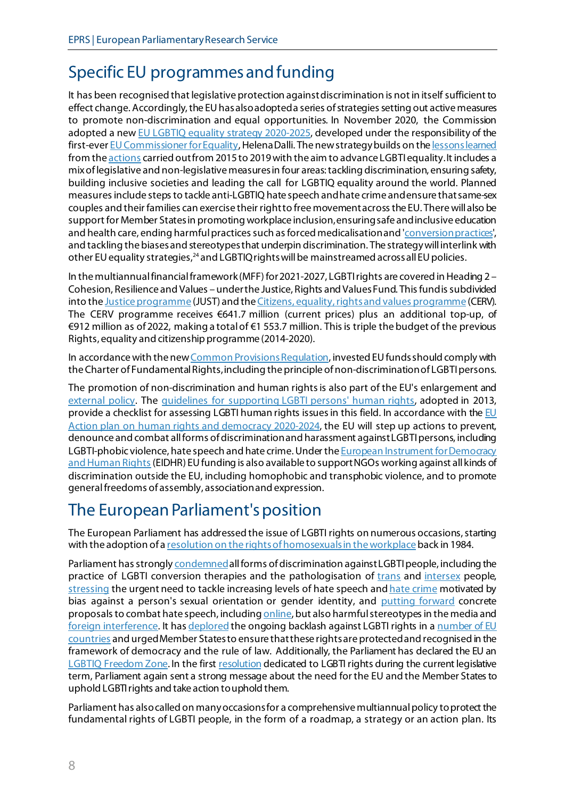## <span id="page-7-0"></span>Specific EU programmes and funding

It has been recognised that legislative protection against discrimination is not in itself sufficient to effect change. Accordingly, the EU has also adopted a series of strategies setting out active measures to promote non-discrimination and equal opportunities. In November 2020, the Commission adopted a ne[w EU LGBTIQ equality strategy 2020-2025,](https://ec.europa.eu/info/sites/info/files/lgbtiq_strategy_2020-2025_en.pdf) developed under the responsibility of the first-eve[r EU Commissioner for Equality](https://ec.europa.eu/commission/commissioners/2019-2024/dalli_en), Helena Dalli. The new strategy builds on th[e lessons learned](https://ec.europa.eu/info/sites/info/files/report_list_of_actions_2015-19.pdf) from the actions carried out from 2015 [to 2019 with the aim to advance LGBTI equality](https://ec.europa.eu/info/policies/justice-and-fundamental-rights/combatting-discrimination/lesbian-gay-bi-trans-and-intersex-equality/list-actions-advance-lgbti-equality_en). It includes a mix of legislative and non-legislative measures in four areas: tackling discrimination, ensuring safety, building inclusive societies and leading the call for LGBTIQ equality around the world. Planned measures include steps to tackle anti-LGBTIQ hate speech and hate crime and ensure that same-sex couples and their families can exercise their right to free movement across the EU. There will also be support for Member States in promoting workplace inclusion, ensuringsafe and inclusive education and health care, ending harmful practices such as forced medicalisation and ['conversion practices',](https://www.ohchr.org/Documents/Issues/SexualOrientation/ConversionTherapyReport.pdf) and tackling the biases and stereotypes that underpin discrimination. The strategy will interlink with other EU equality strategies,<sup>[24](#page-10-23)</sup> and LGBTIQ rights will be mainstreamed across all EU policies.

In the multiannual financial framework (MFF) for 2021-2027, LGBTI rights are covered in Heading 2 – Cohesion, Resilience and Values – under the Justice, Rights and Values Fund. This fund is subdivided into th[e Justice programme](https://ec.europa.eu/info/funding-tenders/opportunities/portal/screen/programmes/just2027) (JUST) and th[e Citizens, equality, rights and values programme](https://ec.europa.eu/info/funding-tenders/opportunities/portal/screen/programmes/cerv) (CERV). The CERV programme receives €641.7 million (current prices) plus an additional top-up, of €912 million as of 2022, making a total of €1 553.7 million. This is triple the budget of the previous Rights, equality and citizenship programme (2014-2020).

In accordance with th[e new Common Provisions Regulation](https://ec.europa.eu/commission/presscorner/detail/en/IP_20_2255), invested EU funds should comply with the Charter of Fundamental Rights, including the principle of non-discrimination of LGBTI persons.

The promotion of non-discrimination and human rights is also part of the EU's enlargement and [external policy.](https://www.eeas.europa.eu/sites/default/files/07_hr_guidelines_lgbti_en.pdf) The [guidelines for supporting LGBTI persons' human rights](http://www.consilium.europa.eu/uedocs/cms_Data/docs/pressdata/EN/foraff/137584.pdf), adopted in 2013, provide a checklist for assessing LGBTI human rights issues in this field. In accordance with the  $E$ U [Action plan on human rights and democracy 2020-2024,](https://www.europarl.europa.eu/legislative-train/theme-a-stronger-europe-in-the-world/file-eu-action-plan-on-democracy-and-human-rights/03-2021) the EU will step up actions to prevent, denounce and combat all forms of discrimination and harassment against LGBTI persons, including LGBTI-phobic violence, hate speech and hate crime. Under the European Instrument for Democracy [and Human Rights](https://www.europarl.europa.eu/RegData/etudes/BRIE/2015/568332/EPRS_BRI(2015)568332_EN.pdf) (EIDHR) EU funding is also available to support NGOs working against all kinds of discrimination outside the EU, including homophobic and transphobic violence, and to promote general freedoms of assembly, association and expression.

## <span id="page-7-1"></span>The European Parliament's position

The European Parliament has addressed the issue of LGBTI rights on numerous occasions, starting with the adoption of [a resolution on the rights of homosexuals in the workplace](https://eur-lex.europa.eu/legal-content/EN/TXT/PDF/?uri=OJ:JOC_1984_104_R_0032_01&from=EN#page=15) back in 1984.

Parliament has strongl[y condemned](https://www.europarl.europa.eu/doceo/document/TA-8-2018-0056_EN.html?redirect) all forms of discrimination against LGBTI people, including the practice of LGBTI conversion therapies and the pathologisation of [trans](https://www.europarl.europa.eu/doceo/document/TA-8-2015-0218_EN.html?redirect) and [intersex](http://www.europarl.europa.eu/doceo/document/TA-8-2019-0128_EN.html) people, [stressing](http://www.europarl.europa.eu/doceo/document/TA-8-2019-0032_EN.html?redirect) the urgent need to tackle increasing levels of hate speech an[d hate crime](https://www.europarl.europa.eu/doceo/document/TA-9-2021-0388_EN.html) motivated by bias against a person's sexual orientation or gender identity, and [putting](http://www.europarl.europa.eu/sides/getDoc.do?pubRef=-%2F%2FEP%2F%2FTEXT%2BREPORT%2BA8-2018-0031%2B0%2BDOC%2BXML%2BV0%2F%2FEN&language=EN) forward concrete proposals to combat hate speech, includin[g online,](https://www.europarl.europa.eu/doceo/document/TA-9-2021-0489_EN.html) but also harmful stereotypes in the media and [foreign interference](https://www.europarl.europa.eu/doceo/document/TA-9-2022-0064_EN.html). It ha[s deplored](https://www.europarl.europa.eu/doceo/document/TA-8-2019-0111_EN.pdf) the ongoing backlash against LGBTI rights in a number of EU [countries](https://www.europarl.europa.eu/doceo/document/TA-9-2021-0362_EN.html) and urged Member States to ensure that these rightsare protected and recognised in the framework of democracy and the rule of law. Additionally, the Parliament has declared the EU an [LGBTIQ Freedom Zone](https://www.europarl.europa.eu/doceo/document/TA-9-2021-0089_EN.html). In the firs[t resolution](https://oeil.secure.europarl.europa.eu/oeil/popups/summary.do?id=1602938&t=e&l=en) dedicated to LGBTI rights during the current legislative term, Parliament again sent a strong message about the need for the EU and the Member Statesto uphold LGBTI rights and take action to uphold them.

Parliament has also called on many occasions for a comprehensive multiannual policy to protect the fundamental rights of LGBTI people, in the form of a roadmap, a strategy or an action plan. Its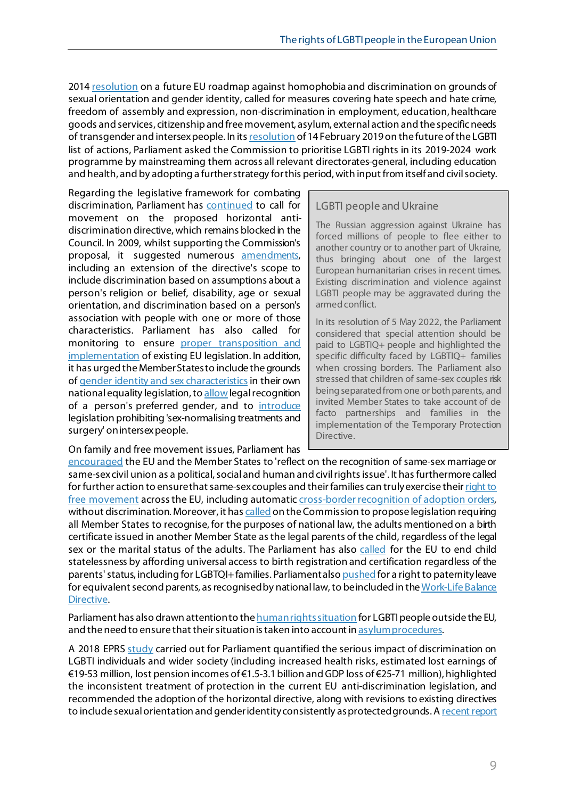2014 [resolution](http://www.europarl.europa.eu/sides/getDoc.do?pubRef=-//EP//TEXT+TA+P7-TA-2014-0062+0+DOC+XML+V0//EN) on a future EU roadmap against homophobia and discrimination on grounds of sexual orientation and gender identity, called for measures covering hate speech and hate crime, freedom of assembly and expression, non-discrimination in employment, education, healthcare goods and services, citizenship and free movement, asylum, external action and the specific needs of transgender and intersex people. In its resolution of 14 February 2019 on the future of the LGBTI list of actions, Parliament asked the Commission to prioritise LGBTI rights in its 2019-2024 work programme by mainstreaming them across all relevant directorates-general, including education and health, and by adopting a further strategy for this period, with input from itself and civil society.

Regarding the legislative framework for combating discrimination, Parliament has [continued](http://www.europarl.europa.eu/legislative-train/theme-area-of-justice-and-fundamental-rights/file-anti-discrimination-directive) to call for movement on the proposed horizontal antidiscrimination directive, which remains blocked in the Council. In 2009, whilst supporting the Commission's proposal, it suggested numerous [amendments,](http://www.europarl.europa.eu/sides/getDoc.do?type=TA&language=EN&reference=P6-TA-2009-211)  including an extension of the directive's scope to include discrimination based on assumptions about a person's religion or belief, disability, age or sexual orientation, and discrimination based on a person's association with people with one or more of those characteristics. Parliament has also called for monitoring to ensure [proper transposition and](http://www.europarl.europa.eu/oeil/popups/ficheprocedure.do?lang=en&reference=2016/2009(INI))  [implementation](http://www.europarl.europa.eu/oeil/popups/ficheprocedure.do?lang=en&reference=2016/2009(INI)) of existing EU legislation. In addition, it has urged the Member States to include the grounds of [gender identity and sex characteristics](http://www.europarl.europa.eu/oeil/popups/ficheprocedure.do?lang=en&reference=2016/2249(INI)) in their own national equality legislation, t[o allow](https://www.europarl.europa.eu/doceo/document/TA-8-2015-0218_EN.html?redirect) legal recognition of a person's preferred gender, and to [introduce](http://www.europarl.europa.eu/doceo/document/TA-8-2019-0128_EN.html) legislation prohibiting 'sex-normalising treatments and surgery' on intersex people.

On family and free movement issues, Parliament has

#### LGBTI people and Ukraine

The Russian aggression against Ukraine has forced millions of people to flee either to another country or to another part of Ukraine, thus bringing about one of the largest European humanitarian crises in recent times. Existing discrimination and [violence](https://www.europarl.europa.eu/doceo/document/TA-9-2021-0050_EN.html) against LGBTI people may be [aggravated](https://www.europarl.europa.eu/thinktank/en/document/EPRS_ATA(2022)729412) during the armed conflict.

In its [resolution](https://www.europarl.europa.eu/doceo/document/TA-9-2022-0206_EN.html) of 5 May 2022, the Parliament considered that special attention should be paid to LGBTIQ+ people and highlighted the specific difficulty faced by LGBTIQ+ families when crossing borders. The Parliament also stressed that children of same-sex couples risk being separated from one or both parents, and invited Member States to take account of de facto partnerships and families in the implementation of the Temporary Protection Directive.

[encouraged](http://www.europarl.europa.eu/sides/getDoc.do?type=TA&reference=P8-TA-2015-0076&language=EN&ring=A8-2015-0023) the EU and the Member States to 'reflect on the recognition of same-sex marriage or same-sex civil union as a political, social and human and civil rights issue'. It has furthermore called for further action to ensure that same-sex couples and their families can truly exercise their right to [free movement](http://www.europarl.europa.eu/sides/getDoc.do?type=TA&reference=P8-TA-2018-0032&language=EN&ring=B8-2018-0064) across the EU, including automati[c cross-border recognition of adoption orders,](http://www.europarl.europa.eu/legislative-train/theme-area-of-justice-and-fundamental-rights/file-cross-border-aspects-of-adoptions) without discrimination. Moreover, it ha[s called](https://www.europarl.europa.eu/doceo/document/TA-9-2021-0366_EN.html) on the Commission to propose legislation requiring all Member States to recognise, for the purposes of national law, the adults mentioned on a birth certificate issued in another Member State as the legal parents of the child, regardless of the legal sex or the marital status of the adults. The Parliament has also [called](https://www.europarl.europa.eu/doceo/document/TA-9-2021-0090_EN.html) for the EU to end child statelessness by affording universal access to birth registration and certification regardless of the parents' status, including for LGBTQI+ families. Parliament als[o pushed](https://www.europarl.europa.eu/doceo/document/TA-8-2019-0348_EN.html?redirect) for a right to paternity leave for equivalent second parents, as recognised by national law, to be included in the Work-Life Balance [Directive.](https://www.europarl.europa.eu/legislative-train/theme-new-boost-for-jobs-growth-and-investment/file-new-start-for-working-parents)

Parliament has also drawn attention to th[e human rights situation](http://www.europarl.europa.eu/committees/en/droi/events-hearings.html?id=20170918CHE02401) for LGBTI people outside the EU, and the need to ensure that their situation is taken into account i[n asylum procedures.](http://www.europarl.europa.eu/sides/getDoc.do?type=TA&language=EN&reference=P8-TA-2017-0073)

A 2018 EPRS [study](http://www.europarl.europa.eu/RegData/etudes/STUD/2018/615660/EPRS_STU(2018)615660_EN.pdf) carried out for Parliament quantified the serious impact of discrimination on LGBTI individuals and wider society (including increased health risks, estimated lost earnings of €19-53 million, lost pension incomes of €1.5-3.1billion and GDP loss of €25-71 million), highlighted the inconsistent treatment of protection in the current EU anti-discrimination legislation, and recommended the adoption of the horizontal directive, along with revisions to existing directives to include sexual orientation and gender identity consistently as protected grounds. [A recent report](https://open-for-business.org/cee-economic-case)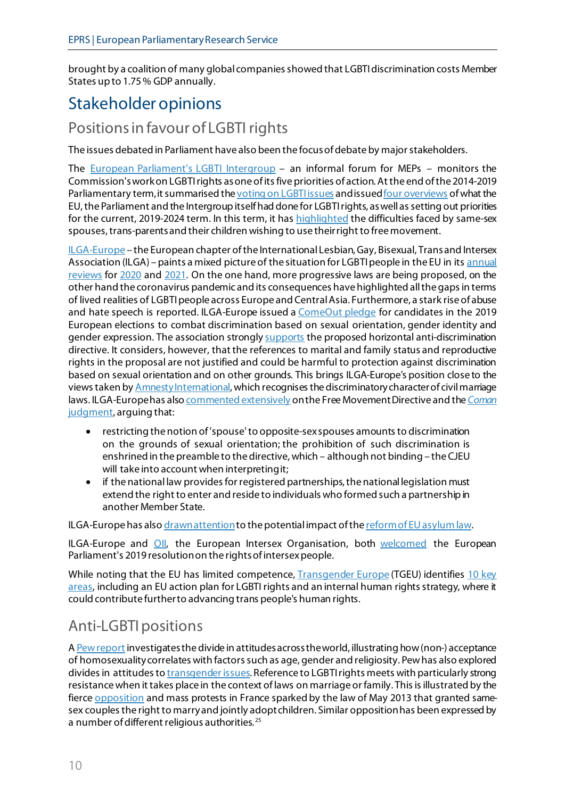brought by a coalition of many global companies showed that LGBTI discrimination costs Member States up to 1.75% GDP annually.

## <span id="page-9-0"></span>Stakeholder opinions

### Positions in favour of LGBTI rights

The issues debated in Parliament have also been the focus of debate by major stakeholders.

The [European Parliament's LGBTI Intergroup](https://lgbti-ep.eu/) - an informal forum for MEPs - monitors the Commission's work on LGBTI rights as one ofits five priorities of action. At the end of the 2014-2019 Parliamentary term, it summarised th[e voting on LGBTI issues](http://lgbti-ep.eu/wp-content/uploads/2019/04/2019-LGBTI-Briefing-5-How-have-political-groups-voted-on-LGBTI-rights.pdf) and issue[d four overviews](http://lgbti-ep.eu/the-eu-and-lgbti-rights/) of what the EU, the Parliament and the Intergroup itself had done for LGBTI rights, as well as setting out priorities for the current, 2019-2024 term. In this term, it has **highlighted** the difficulties faced by same-sex spouses, trans-parents and their children wishing to use their right to free movement.

[ILGA-Europe](http://ilga-europe.org/) – the European chapter of the International Lesbian, Gay, Bisexual, Trans and Intersex Association (ILGA) – paints a mixed picture of the situation for LGBTI people in the EU in its annual [reviews](https://www.ilga-europe.org/sites/default/files/2021/full_annual_review.pdf) for [2020](https://www.ilga-europe.org/sites/default/files/2021/full_annual_review.pdf) and [2021.](https://ilga-europe.org/sites/default/files/Overview%20and%20trends.pdf) On the one hand, more progressive laws are being proposed, on the other hand the coronavirus pandemic and its consequences have highlighted all the gaps in terms of lived realities of LGBTI people across Europe and Central Asia. Furthermore, a stark rise of abuse and hate speech is reported. ILGA-Europe issued a [ComeOut pledge](https://www.ilga-europe.org/resources/news/latest-news/comeout4eu) for candidates in the 2019 European elections to combat discrimination based on sexual orientation, gender identity and gender expression. The association strongl[y supports](https://www.ilga-europe.org/what-we-do/our-advocacy-work/campaigns/equality-all/why) the proposed horizontal anti-discrimination directive. It considers, however, that the references to marital and family status and reproductive rights in the proposal are not justified and could be harmful to protection against discrimination based on sexual orientation and on other grounds. This brings ILGA-Europe's position close to the views taken b[y Amnesty International](https://www.amnesty.org/en/what-we-do/discrimination/lgbti-rights/), which recognises the discriminatory character of civil marriage laws. ILGA-Europe has als[o commented extensively](http://ilga-europe.org/sites/default/files/Attachments/free_mouvement_directive_2nd_ed_2009.pdf) on the Free Movement Directive and the *[Coman](https://www.ilga-europe.org/blog/together-we-can-make-coman-judgment-reality)* [judgment,](https://www.ilga-europe.org/blog/together-we-can-make-coman-judgment-reality) arguing that:

- restricting the notion of 'spouse' to opposite-sex spouses amounts to discrimination on the grounds of sexual orientation; the prohibition of such discrimination is enshrined in the preamble to the directive, which – although not binding – the CJEU will take into account when interpreting it;
- if the national law provides for registered partnerships, the national legislation must extend the right to enter and reside to individuals who formed such a partnership in another Member State.

ILGA-Europe has als[o drawn attention](http://ilga-europe.org/sites/default/files/Attachments/ilga-europe_-_protecting_the_rights_of_lgbti_asylum_seekers_and_refugees_in_the_ceas_-_december_2016.pdf) to the potential impact of th[e reform of EU asylum law.](https://www.europarl.europa.eu/legislative-train/theme-towards-a-new-policy-on-migration/file-reform-of-the-common-european-asylum-system-(ceas))

ILGA-Europe and [OII,](https://oiieurope.org/) the European Intersex Organisation, both [welcomed](https://oiieurope.org/wp-content/uploads/2019/02/OII-E_ILGA-E_PR-for-EP-intersex-resolution_fin.pdf) the European Parliament's 2019 resolution on the rights of intersex people.

While noting that the EU has limited competence, **Transgender Europe** (TGEU) identifies 10 key [areas,](http://tgeu.org/?p=2723) including an EU action plan for LGBTI rights and an internal human rights strategy, where it could contribute further to advancing trans people's human rights.

### Anti-LGBTI positions

A [Pew report](https://www.pewresearch.org/global/2013/06/04/the-global-divide-on-homosexuality/) investigates the divide in attitudes across the world, illustrating how (non-) acceptance of homosexuality correlates with factors such as age, gender and religiosity. Pew has also explored divides in attitudes t[o transgender issues](https://www.pewresearch.org/fact-tank/2017/11/27/views-of-transgender-issues-divide-along-religious-lines/). Reference to LGBTI rights meets with particularly strong resistance when it takes place in the context of laws on marriage or family. This is illustrated by the fierce **opposition** and mass protests in France sparked by the law of May 2013 that granted samesex couples the right to marry and jointly adopt children. Similar opposition has been expressed by a number of different religious authorities. [25](#page-10-24)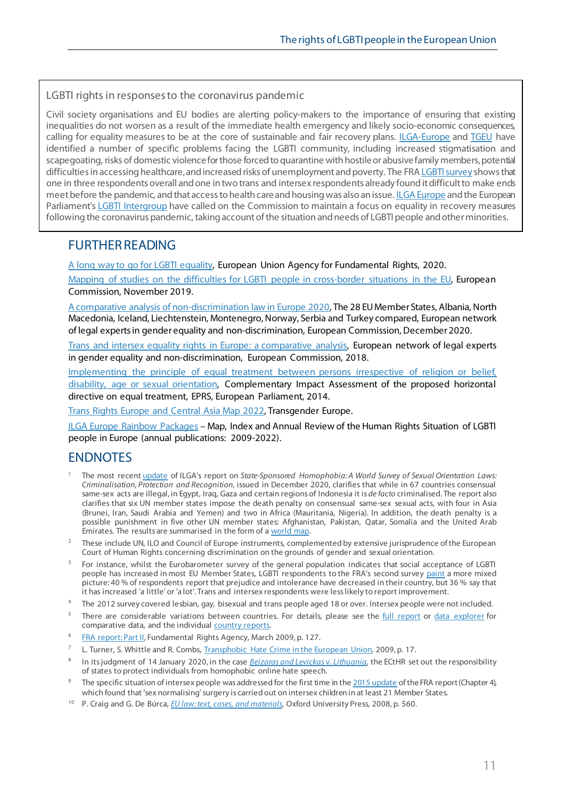#### <span id="page-10-11"></span><span id="page-10-10"></span>LGBTI rights in responses to the coronavirus pandemic

<span id="page-10-14"></span><span id="page-10-13"></span><span id="page-10-12"></span>Civil society organisations and EU bodies are alerting policy-makers to the importance of ensuring that existing inequalities do not worsen as a result of the immediate health emergency and likely socio-economic consequences, calling for equality measures to be at the core of sustainable and fair recovery plans. [ILGA-Europe](https://www.ilga-europe.org/sites/default/files/COVID19%20_Impact%20LGBTI%20people.pdf) and [TGEU](https://tgeu.org/covid-19/trans-people/) have identified a number of specific problems facing the LGBTI community, including increased stigmatisation and scapegoating, risks of domestic violence for those forced to quarantine with hostile or abusive family members, potential difficulties in accessing healthcare, andincreased risks of unemployment and poverty. The FR[A LGBTI survey](https://fra.europa.eu/en/news/2020/does-hope-or-fear-prevail-among-europes-lgbti-people) shows that one in three respondents overall and one in two trans and intersex respondents already found it difficult to make ends meet before the pandemic, and that access to health care and housing was also an issu[e. ILGA Europe](https://www.ilga-europe.org/resources/news/latest-news/open-letter-president-ursula-von-der-leyen-keeping-equality-all-core-amid) and the European Parliament's [LGBTI Intergroup](https://lgbti-ep.eu/2020/04/21/lgbti-rights-and-ardi-intergroups-ask-president-ursula-von-der-leyen-to-keep-equality-at-the-centre-of-the-post-covid19-recovery-response/) have called on the Commission to maintain a focus on equality in recovery measures following the coronavirus pandemic, taking account of the situation and needs of LGBTI people and other minorities.

#### <span id="page-10-16"></span><span id="page-10-15"></span>FURTHER READING

<span id="page-10-17"></span>[A long way to go for LGBTI equality,](https://fra.europa.eu/en/publication/2020/eu-lgbti-survey-results) European Union Agency for Fundamental Rights, 2020.

[Mapping of studies on the difficulties for LGBTI people in cross-border situations in the EU,](https://ec.europa.eu/info/sites/info/files/mapping_of_studies_on_the_difficulties_for_lgbti_people_in_cross-border_situations_in_the_eu.pdf) European Commission, November 2019.

<span id="page-10-19"></span><span id="page-10-18"></span>[A comparative analysis of non-discrimination law in Europe 2020,](https://www.equalitylaw.eu/downloads/5349-a-comparative-analysis-of-non-discrimination-law-in-europe-2020-1-31-mb) The 28 EU Member States, Albania, North Macedonia, Iceland, Liechtenstein, Montenegro, Norway, Serbia and Turkey compared, European network of legal experts in gender equality and non-discrimination, European Commission, December 2020.

<span id="page-10-20"></span>[Trans and intersex equality rights in Europe: a comparative analysis,](https://ec.europa.eu/info/sites/info/files/trans_and_intersex_equality_rights.pdf) European network of legal experts in gender equality and non-discrimination, European Commission, 2018.

[Implementing the principle of equal treatment between persons irrespective of religion or belief,](http://bookshop.europa.eu/en/implementing-the-principle-of-equal-treatment-between-persons-irrespective-of-religion-or-belief-disability-age-or-sexual-orientation-pbBA0213294/?CatalogCategoryID=cOwKABstC3oAAAEjeJEY4e5L)  [disability, age or sexual orientation,](http://bookshop.europa.eu/en/implementing-the-principle-of-equal-treatment-between-persons-irrespective-of-religion-or-belief-disability-age-or-sexual-orientation-pbBA0213294/?CatalogCategoryID=cOwKABstC3oAAAEjeJEY4e5L) Complementary Impact Assessment of the proposed horizontal directive on equal treatment, EPRS, European Parliament, 2014.

<span id="page-10-22"></span><span id="page-10-21"></span>[Trans Rights Europe and Central Asia Map 2022,](https://tgeu.org/trans-rights-map-2022/) Transgender Europe.

<span id="page-10-23"></span>[ILGA Europe Rainbow Packages](http://ilga-europe.org/rainboweurope) – Map, Index and Annual Review of the Human Rights Situation of LGBTI people in Europe (annual publications: 2009-2022).

### <span id="page-10-24"></span>**ENDNOTES**

- <span id="page-10-0"></span><sup>1</sup> The most recen[t update](https://ilga.org/downloads/ILGA_World_State_Sponsored_Homophobia_report_global_legislation_overview_update_December_2020.pdf) of ILGA's report on *State-Sponsored Homophobia: A World Survey of Sexual Orientation Laws: Criminalisation, Protection and Recognition*, issued in December 2020, clarifies that while in 67 countries consensual same-sex acts are illegal, in Egypt, Iraq, Gaza and certain regions of Indonesia it is *de facto* criminalised. The report also clarifies that six UN member states impose the death penalty on consensual same-sex sexual acts, with four in Asia (Brunei, Iran, Saudi Arabia and Yemen) and two in Africa (Mauritania, Nigeria). In addition, the death penalty is a possible punishment in five other UN member states: Afghanistan, Pakistan, Qatar, Somalia and the United Arab Emirates. The results are summarised in the form of a [world map.](https://ilga.org/maps-sexual-orientation-laws)
- <span id="page-10-1"></span><sup>2</sup> These include UN, ILO and Council of Europe instruments, complemented by extensive jurisprudence of the European Court of Human Rights concerning discrimination on the grounds of gender and sexual orientation.
- <span id="page-10-2"></span><sup>3</sup> For instance, whilst the Eurobarometer survey of the general population indicates that social acceptance of LGBTI people has increased in most EU Member States, LGBTI respondents to the FRA's second survey [paint](https://fra.europa.eu/sites/default/files/fra_uploads/fra-2020-lgbti-equality_en.pdf#page=14) a more mixed picture: 40 % of respondents report that prejudice and intolerance have decreased in their country, but 36 % say that it has increased 'a little' or 'a lot'. Trans and intersex respondents were less likely to report improvement.
- <span id="page-10-3"></span><sup>4</sup> The 2012 survey covered lesbian, gay, bisexual and trans people aged 18 or over. Intersex people were not included.
- <span id="page-10-4"></span><sup>5</sup> There are considerable variations between countries. For details, please see the *full report* or [data explorer](https://fra.europa.eu/en/data-and-maps/2020/lgbti-survey-data-explorer) for comparative data, and the individual [country reports.](https://fra.europa.eu/en/publication/2020/eu-lgbti-survey-results#TabPubCountrydata3)
- <span id="page-10-5"></span><sup>6</sup> [FRA report: Part II,](http://fra.europa.eu/sites/default/files/fra_uploads/397-FRA_hdgso_report_part2_en.pdf) Fundamental Rights Agency, March 2009, p. 127.
- <span id="page-10-6"></span>L. Turner, S. Whittle and R. Combs, [Transphobic Hate Crime in the European Union,](http://bit.ly/1WBfYjH) 2009, p. 17.
- <span id="page-10-7"></span><sup>8</sup> In its judgment of 14 January 2020, in the case *[Beizaras and Levickas](http://hudoc.echr.coe.int/eng?i=001-200344)* v. *Lithuania*, the ECtHR set out the responsibility of states to protect individuals from homophobic online hate speech.
- <span id="page-10-8"></span><sup>9</sup> The specific situation of intersex people was addressed for the first time in th[e 2015 update](http://fra.europa.eu/en/publication/2015/lgbti-comparative-legal-update-2015) of the FRA report (Chapter 4), which found that 'sex normalising' surgery is carried out on intersex children in at least 21 Member States.
- <span id="page-10-9"></span><sup>10</sup> P. Craig and G. De Búrca, *[EU law: text, cases, and materials,](https://europarl-eplibrary.hosted.exlibrisgroup.com/primo-explore/fulldisplay?docid=32EPA_ALMA_DS2116039470004886&vid=32EPA_V1&search_scope=32EPA_Everything&tab=default_tab&lang=en_US&context=L&isFrbr=true)* Oxford University Press, 2008, p. 560.